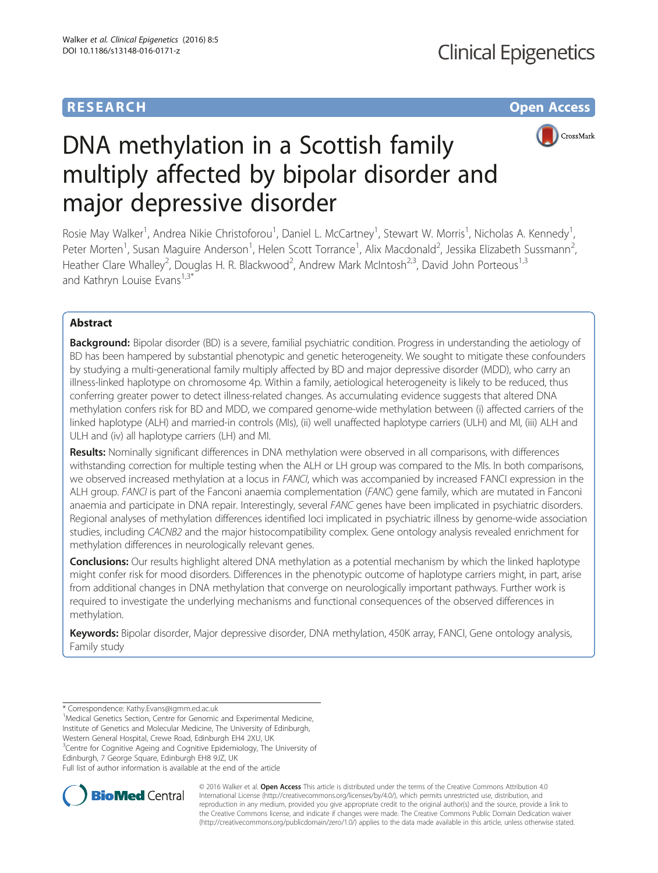# **RESEARCH CHE Open Access**



# DNA methylation in a Scottish family multiply affected by bipolar disorder and major depressive disorder

Rosie May Walker<sup>1</sup>, Andrea Nikie Christoforou<sup>1</sup>, Daniel L. McCartney<sup>1</sup>, Stewart W. Morris<sup>1</sup>, Nicholas A. Kennedy<sup>1</sup> , Peter Morten<sup>1</sup>, Susan Maguire Anderson<sup>1</sup>, Helen Scott Torrance<sup>1</sup>, Alix Macdonald<sup>2</sup>, Jessika Elizabeth Sussmann<sup>2</sup> , Heather Clare Whalley<sup>2</sup>, Douglas H. R. Blackwood<sup>2</sup>, Andrew Mark McIntosh<sup>2,3</sup>, David John Porteous<sup>1,3</sup> and Kathryn Louise Evans $1,3^*$ 

## Abstract

Background: Bipolar disorder (BD) is a severe, familial psychiatric condition. Progress in understanding the aetiology of BD has been hampered by substantial phenotypic and genetic heterogeneity. We sought to mitigate these confounders by studying a multi-generational family multiply affected by BD and major depressive disorder (MDD), who carry an illness-linked haplotype on chromosome 4p. Within a family, aetiological heterogeneity is likely to be reduced, thus conferring greater power to detect illness-related changes. As accumulating evidence suggests that altered DNA methylation confers risk for BD and MDD, we compared genome-wide methylation between (i) affected carriers of the linked haplotype (ALH) and married-in controls (MIs), (ii) well unaffected haplotype carriers (ULH) and MI, (iii) ALH and ULH and (iv) all haplotype carriers (LH) and MI.

Results: Nominally significant differences in DNA methylation were observed in all comparisons, with differences withstanding correction for multiple testing when the ALH or LH group was compared to the MIs. In both comparisons, we observed increased methylation at a locus in FANCI, which was accompanied by increased FANCI expression in the ALH group. FANCI is part of the Fanconi anaemia complementation (FANC) gene family, which are mutated in Fanconi anaemia and participate in DNA repair. Interestingly, several FANC genes have been implicated in psychiatric disorders. Regional analyses of methylation differences identified loci implicated in psychiatric illness by genome-wide association studies, including CACNB2 and the major histocompatibility complex. Gene ontology analysis revealed enrichment for methylation differences in neurologically relevant genes.

**Conclusions:** Our results highlight altered DNA methylation as a potential mechanism by which the linked haplotype might confer risk for mood disorders. Differences in the phenotypic outcome of haplotype carriers might, in part, arise from additional changes in DNA methylation that converge on neurologically important pathways. Further work is required to investigate the underlying mechanisms and functional consequences of the observed differences in methylation.

Keywords: Bipolar disorder, Major depressive disorder, DNA methylation, 450K array, FANCI, Gene ontology analysis, Family study

Western General Hospital, Crewe Road, Edinburgh EH4 2XU, UK

<sup>3</sup> Centre for Cognitive Ageing and Cognitive Epidemiology, The University of Edinburgh, 7 George Square, Edinburgh EH8 9JZ, UK

Full list of author information is available at the end of the article



© 2016 Walker et al. Open Access This article is distributed under the terms of the Creative Commons Attribution 4.0 International License [\(http://creativecommons.org/licenses/by/4.0/](http://creativecommons.org/licenses/by/4.0/)), which permits unrestricted use, distribution, and reproduction in any medium, provided you give appropriate credit to the original author(s) and the source, provide a link to the Creative Commons license, and indicate if changes were made. The Creative Commons Public Domain Dedication waiver [\(http://creativecommons.org/publicdomain/zero/1.0/](http://creativecommons.org/publicdomain/zero/1.0/)) applies to the data made available in this article, unless otherwise stated.

<sup>\*</sup> Correspondence: [Kathy.Evans@igmm.ed.ac.uk](mailto:Kathy.Evans@igmm.ed.ac.uk) <sup>1</sup>

<sup>&</sup>lt;sup>1</sup> Medical Genetics Section, Centre for Genomic and Experimental Medicine, Institute of Genetics and Molecular Medicine, The University of Edinburgh,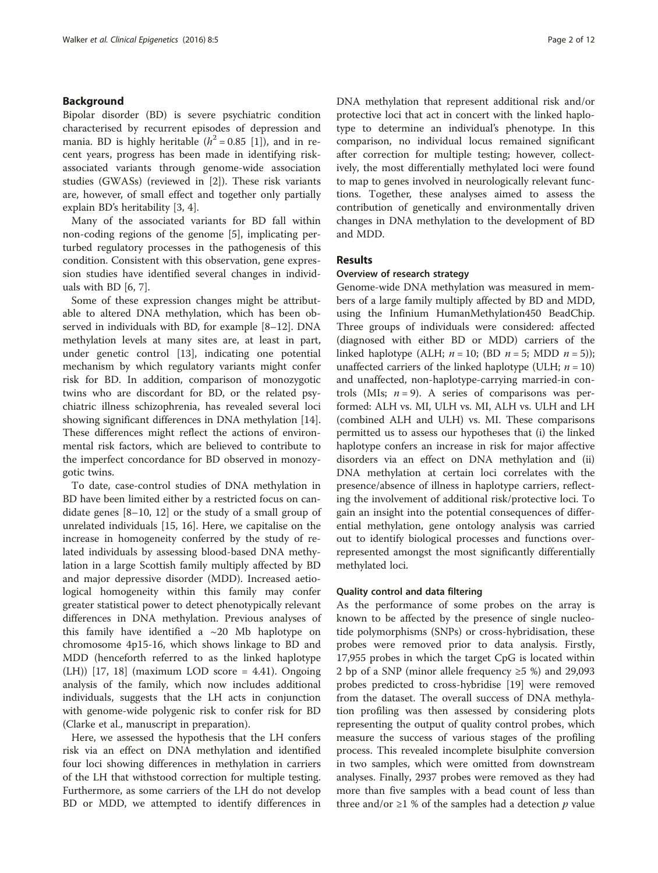## Background

Bipolar disorder (BD) is severe psychiatric condition characterised by recurrent episodes of depression and mania. BD is highly heritable  $(h^2 = 0.85 \, [1])$  $(h^2 = 0.85 \, [1])$  $(h^2 = 0.85 \, [1])$ , and in recent years, progress has been made in identifying riskassociated variants through genome-wide association studies (GWASs) (reviewed in [\[2](#page-10-0)]). These risk variants are, however, of small effect and together only partially explain BD's heritability [[3, 4\]](#page-10-0).

Many of the associated variants for BD fall within non-coding regions of the genome [[5\]](#page-10-0), implicating perturbed regulatory processes in the pathogenesis of this condition. Consistent with this observation, gene expression studies have identified several changes in individuals with BD [[6, 7\]](#page-10-0).

Some of these expression changes might be attributable to altered DNA methylation, which has been observed in individuals with BD, for example [[8](#page-10-0)–[12](#page-10-0)]. DNA methylation levels at many sites are, at least in part, under genetic control [\[13](#page-10-0)], indicating one potential mechanism by which regulatory variants might confer risk for BD. In addition, comparison of monozygotic twins who are discordant for BD, or the related psychiatric illness schizophrenia, has revealed several loci showing significant differences in DNA methylation [\[14](#page-10-0)]. These differences might reflect the actions of environmental risk factors, which are believed to contribute to the imperfect concordance for BD observed in monozygotic twins.

To date, case-control studies of DNA methylation in BD have been limited either by a restricted focus on candidate genes [\[8](#page-10-0)–[10](#page-10-0), [12](#page-10-0)] or the study of a small group of unrelated individuals [\[15, 16](#page-10-0)]. Here, we capitalise on the increase in homogeneity conferred by the study of related individuals by assessing blood-based DNA methylation in a large Scottish family multiply affected by BD and major depressive disorder (MDD). Increased aetiological homogeneity within this family may confer greater statistical power to detect phenotypically relevant differences in DNA methylation. Previous analyses of this family have identified a  $\sim$  20 Mb haplotype on chromosome 4p15-16, which shows linkage to BD and MDD (henceforth referred to as the linked haplotype  $(LH)$  [[17](#page-10-0), [18](#page-10-0)] (maximum LOD score = 4.41). Ongoing analysis of the family, which now includes additional individuals, suggests that the LH acts in conjunction with genome-wide polygenic risk to confer risk for BD (Clarke et al., manuscript in preparation).

Here, we assessed the hypothesis that the LH confers risk via an effect on DNA methylation and identified four loci showing differences in methylation in carriers of the LH that withstood correction for multiple testing. Furthermore, as some carriers of the LH do not develop BD or MDD, we attempted to identify differences in DNA methylation that represent additional risk and/or protective loci that act in concert with the linked haplotype to determine an individual's phenotype. In this comparison, no individual locus remained significant after correction for multiple testing; however, collectively, the most differentially methylated loci were found to map to genes involved in neurologically relevant functions. Together, these analyses aimed to assess the contribution of genetically and environmentally driven changes in DNA methylation to the development of BD and MDD.

## Results

## Overview of research strategy

Genome-wide DNA methylation was measured in members of a large family multiply affected by BD and MDD, using the Infinium HumanMethylation450 BeadChip. Three groups of individuals were considered: affected (diagnosed with either BD or MDD) carriers of the linked haplotype (ALH;  $n = 10$ ; (BD  $n = 5$ ; MDD  $n = 5$ )); unaffected carriers of the linked haplotype (ULH;  $n = 10$ ) and unaffected, non-haplotype-carrying married-in controls (MIs;  $n = 9$ ). A series of comparisons was performed: ALH vs. MI, ULH vs. MI, ALH vs. ULH and LH (combined ALH and ULH) vs. MI. These comparisons permitted us to assess our hypotheses that (i) the linked haplotype confers an increase in risk for major affective disorders via an effect on DNA methylation and (ii) DNA methylation at certain loci correlates with the presence/absence of illness in haplotype carriers, reflecting the involvement of additional risk/protective loci. To gain an insight into the potential consequences of differential methylation, gene ontology analysis was carried out to identify biological processes and functions overrepresented amongst the most significantly differentially methylated loci.

#### Quality control and data filtering

As the performance of some probes on the array is known to be affected by the presence of single nucleotide polymorphisms (SNPs) or cross-hybridisation, these probes were removed prior to data analysis. Firstly, 17,955 probes in which the target CpG is located within 2 bp of a SNP (minor allele frequency ≥5 %) and 29,093 probes predicted to cross-hybridise [[19](#page-10-0)] were removed from the dataset. The overall success of DNA methylation profiling was then assessed by considering plots representing the output of quality control probes, which measure the success of various stages of the profiling process. This revealed incomplete bisulphite conversion in two samples, which were omitted from downstream analyses. Finally, 2937 probes were removed as they had more than five samples with a bead count of less than three and/or  $\geq 1$  % of the samples had a detection p value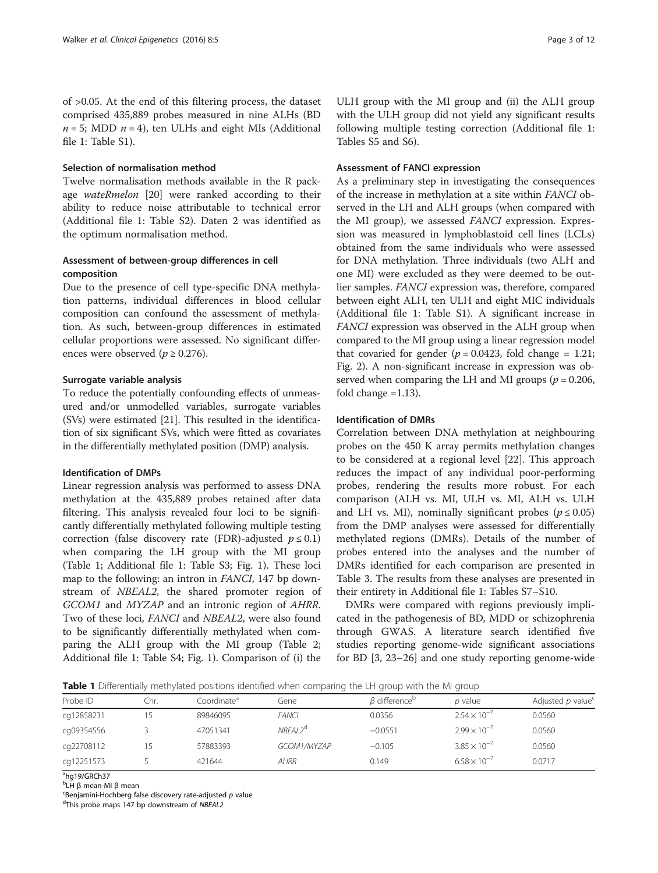of >0.05. At the end of this filtering process, the dataset comprised 435,889 probes measured in nine ALHs (BD  $n = 5$ ; MDD  $n = 4$ ), ten ULHs and eight MIs (Additional file [1:](#page-9-0) Table S1).

#### Selection of normalisation method

Twelve normalisation methods available in the R package wateRmelon [\[20](#page-10-0)] were ranked according to their ability to reduce noise attributable to technical error (Additional file [1](#page-9-0): Table S2). Daten 2 was identified as the optimum normalisation method.

## Assessment of between-group differences in cell composition

Due to the presence of cell type-specific DNA methylation patterns, individual differences in blood cellular composition can confound the assessment of methylation. As such, between-group differences in estimated cellular proportions were assessed. No significant differences were observed ( $p \ge 0.276$ ).

## Surrogate variable analysis

To reduce the potentially confounding effects of unmeasured and/or unmodelled variables, surrogate variables (SVs) were estimated [\[21\]](#page-10-0). This resulted in the identification of six significant SVs, which were fitted as covariates in the differentially methylated position (DMP) analysis.

## Identification of DMPs

Linear regression analysis was performed to assess DNA methylation at the 435,889 probes retained after data filtering. This analysis revealed four loci to be significantly differentially methylated following multiple testing correction (false discovery rate (FDR)-adjusted  $p \le 0.1$ ) when comparing the LH group with the MI group (Table 1; Additional file [1:](#page-9-0) Table S3; Fig. [1](#page-3-0)). These loci map to the following: an intron in FANCI, 147 bp downstream of NBEAL2, the shared promoter region of GCOM1 and MYZAP and an intronic region of AHRR. Two of these loci, FANCI and NBEAL2, were also found to be significantly differentially methylated when comparing the ALH group with the MI group (Table [2](#page-3-0); Additional file [1:](#page-9-0) Table S4; Fig. [1](#page-3-0)). Comparison of (i) the

ULH group with the MI group and (ii) the ALH group with the ULH group did not yield any significant results following multiple testing correction (Additional file [1](#page-9-0): Tables S5 and S6).

#### Assessment of FANCI expression

As a preliminary step in investigating the consequences of the increase in methylation at a site within FANCI observed in the LH and ALH groups (when compared with the MI group), we assessed FANCI expression. Expression was measured in lymphoblastoid cell lines (LCLs) obtained from the same individuals who were assessed for DNA methylation. Three individuals (two ALH and one MI) were excluded as they were deemed to be outlier samples. FANCI expression was, therefore, compared between eight ALH, ten ULH and eight MIC individuals (Additional file [1:](#page-9-0) Table S1). A significant increase in FANCI expression was observed in the ALH group when compared to the MI group using a linear regression model that covaried for gender ( $p = 0.0423$ , fold change = 1.21; Fig. [2\)](#page-4-0). A non-significant increase in expression was observed when comparing the LH and MI groups ( $p = 0.206$ , fold change  $=1.13$ ).

#### Identification of DMRs

Correlation between DNA methylation at neighbouring probes on the 450 K array permits methylation changes to be considered at a regional level [[22\]](#page-10-0). This approach reduces the impact of any individual poor-performing probes, rendering the results more robust. For each comparison (ALH vs. MI, ULH vs. MI, ALH vs. ULH and LH vs. MI), nominally significant probes ( $p \le 0.05$ ) from the DMP analyses were assessed for differentially methylated regions (DMRs). Details of the number of probes entered into the analyses and the number of DMRs identified for each comparison are presented in Table [3.](#page-4-0) The results from these analyses are presented in their entirety in Additional file [1](#page-9-0): Tables S7–S10.

DMRs were compared with regions previously implicated in the pathogenesis of BD, MDD or schizophrenia through GWAS. A literature search identified five studies reporting genome-wide significant associations for BD [[3, 23](#page-10-0)–[26\]](#page-10-0) and one study reporting genome-wide

**Table 1** Differentially methylated positions identified when comparing the LH group with the MI group

| Probe ID   | Chr. | Coordinate <sup>a</sup> | Gene                | $\beta$ difference <sup>b</sup> | p value               | Adjusted $p$ value <sup>c</sup> |
|------------|------|-------------------------|---------------------|---------------------------------|-----------------------|---------------------------------|
| cq12858231 |      | 89846095                | <b>FANCI</b>        | 0.0356                          | $2.54 \times 10^{-7}$ | 0.0560                          |
| cg09354556 |      | 47051341                | NBEAL2 <sup>d</sup> | $-0.0551$                       | $2.99 \times 10^{-7}$ | 0.0560                          |
| cg22708112 | 15   | 57883393                | GCOM1/MYZAP         | $-0.105$                        | $3.85 \times 10^{-7}$ | 0.0560                          |
| cq12251573 |      | 421644                  | AHRR                | 0.149                           | $6.58 \times 10^{-7}$ | 0.0717                          |

<sup>a</sup>hg19/GRCh37

 $b$ LH  $\beta$  mean-MI  $\beta$  mean <sup>b</sup>LH β mean-MI β mean<br><sup>c</sup>Peniamini Hechberg fa

<sup>c</sup>Benjamini-Hochberg false discovery rate-adjusted *p* value<br><sup>d</sup>This probe mans 147 bp downstream of NRF4L2

<sup>d</sup>This probe maps 147 bp downstream of NBEAL2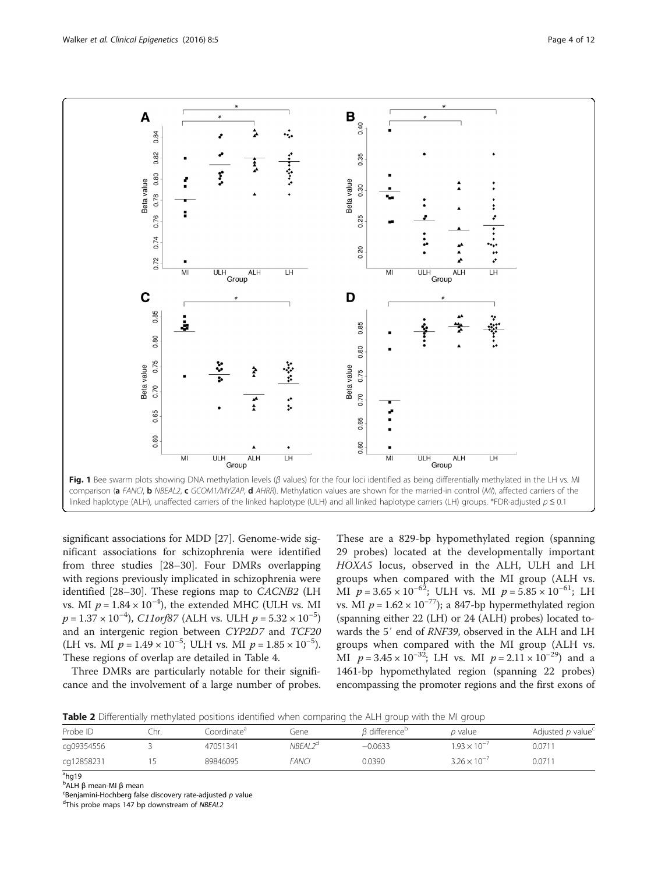<span id="page-3-0"></span>

significant associations for MDD [\[27](#page-10-0)]. Genome-wide significant associations for schizophrenia were identified from three studies [[28](#page-10-0)–[30](#page-10-0)]. Four DMRs overlapping with regions previously implicated in schizophrenia were identified [\[28](#page-10-0)–[30\]](#page-10-0). These regions map to CACNB2 (LH vs. MI  $p = 1.84 \times 10^{-4}$ ), the extended MHC (ULH vs. MI  $p = 1.37 \times 10^{-4}$ ), C11orf87 (ALH vs. ULH  $p = 5.32 \times 10^{-5}$ ) and an intergenic region between CYP2D7 and TCF20 (LH vs. MI  $p = 1.49 \times 10^{-5}$ ; ULH vs. MI  $p = 1.85 \times 10^{-5}$ ). These regions of overlap are detailed in Table [4](#page-5-0).

Three DMRs are particularly notable for their significance and the involvement of a large number of probes.

These are a 829-bp hypomethylated region (spanning 29 probes) located at the developmentally important HOXA5 locus, observed in the ALH, ULH and LH groups when compared with the MI group (ALH vs. MI  $p = 3.65 \times 10^{-62}$ ; ULH vs. MI  $p = 5.85 \times 10^{-61}$ ; LH vs. MI  $p = 1.62 \times 10^{-77}$ ; a 847-bp hypermethylated region (spanning either 22 (LH) or 24 (ALH) probes) located towards the 5′ end of RNF39, observed in the ALH and LH groups when compared with the MI group (ALH vs. MI  $p = 3.45 \times 10^{-32}$ ; LH vs. MI  $p = 2.11 \times 10^{-29}$ ) and a 1461-bp hypomethylated region (spanning 22 probes) encompassing the promoter regions and the first exons of

Table 2 Differentially methylated positions identified when comparing the ALH group with the MI group

|            |      |                         |              | $\sim$<br>$\sim$                | $\sim$                    |                    |
|------------|------|-------------------------|--------------|---------------------------------|---------------------------|--------------------|
| Probe ID   | _hr. | _oordinate <sup>¤</sup> | Gene         | $\beta$ difference <sup>r</sup> | p value                   | Adjusted $p$ value |
| cq09354556 |      | 47051341                | NBEAL2°      | $-0.0633$                       | $193 \times 10$<br>$\sim$ | 0.071              |
| cq12858231 |      | 89846095                | <b>FANCI</b> | 0.0390                          | $3.26 \times 10^{-7}$     | 0.071              |

a hg19

 $b$ ALH  $\beta$  mean-MI  $\beta$  mean <sup>b</sup>ALH β mean-MI β mean<br><sup>c</sup>Peniamini Hechberg fals

<sup>c</sup>Benjamini-Hochberg false discovery rate-adjusted *p* value<br><sup>d</sup>This probe mans 147 bp downstream of NRF4L2

<sup>d</sup>This probe maps 147 bp downstream of NBEAL2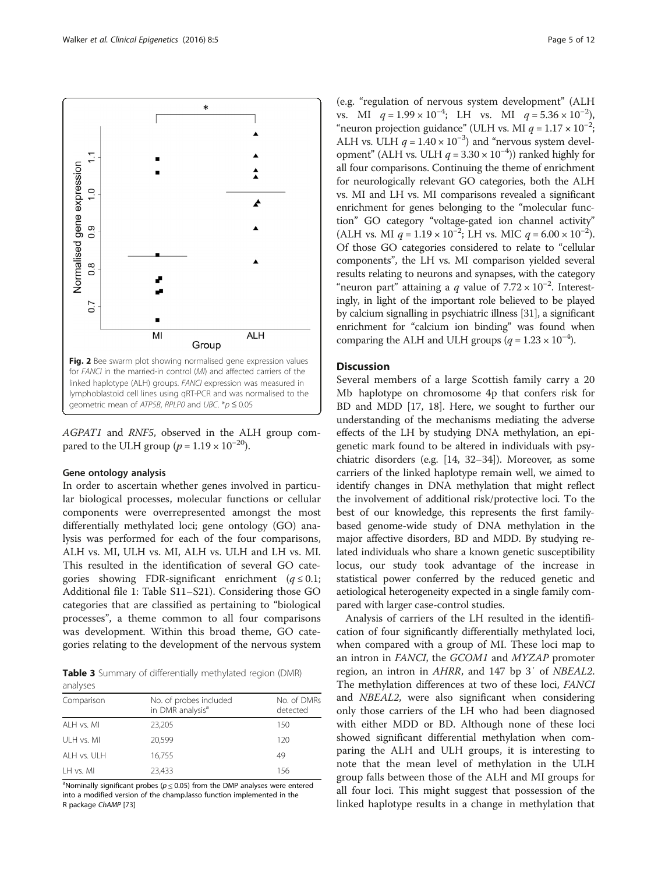<span id="page-4-0"></span>

AGPAT1 and RNF5, observed in the ALH group compared to the ULH group ( $p = 1.19 \times 10^{-20}$ ).

#### Gene ontology analysis

In order to ascertain whether genes involved in particular biological processes, molecular functions or cellular components were overrepresented amongst the most differentially methylated loci; gene ontology (GO) analysis was performed for each of the four comparisons, ALH vs. MI, ULH vs. MI, ALH vs. ULH and LH vs. MI. This resulted in the identification of several GO categories showing FDR-significant enrichment  $(q \le 0.1;$ Additional file [1](#page-9-0): Table S11–S21). Considering those GO categories that are classified as pertaining to "biological processes", a theme common to all four comparisons was development. Within this broad theme, GO categories relating to the development of the nervous system

Table 3 Summary of differentially methylated region (DMR) analyses

| Comparison  | No. of probes included<br>in DMR analysis <sup>a</sup> | No. of DMRs<br>detected |  |
|-------------|--------------------------------------------------------|-------------------------|--|
| ALH vs. MI  | 23,205                                                 | 150                     |  |
| ULH vs. MI  | 20,599                                                 | 120                     |  |
| ALH vs. ULH | 16,755                                                 | 49                      |  |
| LH vs. MI   | 23.433                                                 | 156                     |  |

a<br>
Nominally significant probes ( $p \le 0.05$ ) from the DMP analyses were entered<br>
into a modified version of the champ lasso function implemented in the into a modified version of the champ.lasso function implemented in the R package ChAMP [[73\]](#page-11-0)

(e.g. "regulation of nervous system development" (ALH vs. MI  $q = 1.99 \times 10^{-4}$ ; LH vs. MI  $q = 5.36 \times 10^{-2}$ ), "neuron projection guidance" (ULH vs. MI  $q = 1.17 \times 10^{-2}$ ; ALH vs. ULH  $q = 1.40 \times 10^{-3}$ ) and "nervous system development" (ALH vs. ULH  $q = 3.30 \times 10^{-4}$ )) ranked highly for all four comparisons. Continuing the theme of enrichment for neurologically relevant GO categories, both the ALH vs. MI and LH vs. MI comparisons revealed a significant enrichment for genes belonging to the "molecular function" GO category "voltage-gated ion channel activity" (ALH vs. MI  $q = 1.19 \times 10^{-2}$ ; LH vs. MIC  $q = 6.00 \times 10^{-2}$ ). Of those GO categories considered to relate to "cellular components", the LH vs. MI comparison yielded several results relating to neurons and synapses, with the category "neuron part" attaining a q value of  $7.72 \times 10^{-2}$ . Interestingly, in light of the important role believed to be played by calcium signalling in psychiatric illness [\[31\]](#page-10-0), a significant enrichment for "calcium ion binding" was found when comparing the ALH and ULH groups  $(q = 1.23 \times 10^{-4})$ .

## **Discussion**

Several members of a large Scottish family carry a 20 Mb haplotype on chromosome 4p that confers risk for BD and MDD [[17](#page-10-0), [18](#page-10-0)]. Here, we sought to further our understanding of the mechanisms mediating the adverse effects of the LH by studying DNA methylation, an epigenetic mark found to be altered in individuals with psychiatric disorders (e.g. [[14](#page-10-0), [32](#page-10-0)–[34](#page-10-0)]). Moreover, as some carriers of the linked haplotype remain well, we aimed to identify changes in DNA methylation that might reflect the involvement of additional risk/protective loci. To the best of our knowledge, this represents the first familybased genome-wide study of DNA methylation in the major affective disorders, BD and MDD. By studying related individuals who share a known genetic susceptibility locus, our study took advantage of the increase in statistical power conferred by the reduced genetic and aetiological heterogeneity expected in a single family compared with larger case-control studies.

Analysis of carriers of the LH resulted in the identification of four significantly differentially methylated loci, when compared with a group of MI. These loci map to an intron in FANCI, the GCOM1 and MYZAP promoter region, an intron in AHRR, and 147 bp 3′ of NBEAL2. The methylation differences at two of these loci, FANCI and NBEAL2, were also significant when considering only those carriers of the LH who had been diagnosed with either MDD or BD. Although none of these loci showed significant differential methylation when comparing the ALH and ULH groups, it is interesting to note that the mean level of methylation in the ULH group falls between those of the ALH and MI groups for all four loci. This might suggest that possession of the linked haplotype results in a change in methylation that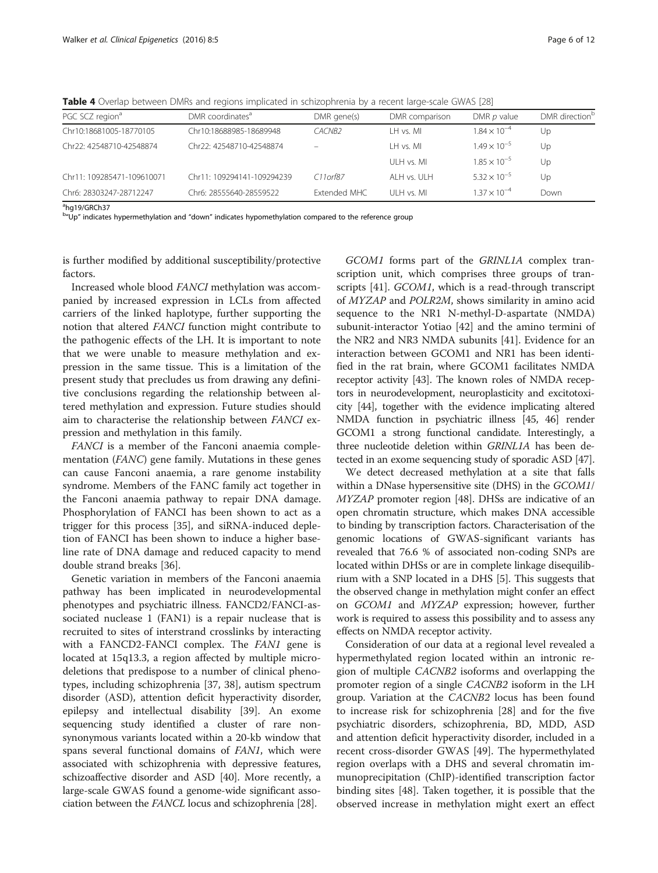<span id="page-5-0"></span>Table 4 Overlap between DMRs and regions implicated in schizophrenia by a recent large-scale GWAS [[28\]](#page-10-0)

| PGC SCZ region <sup>a</sup> | DMR coordinates <sup>a</sup> | DMR gene(s)         | DMR comparison | DMR $p$ value         | DMR direction <sup>b</sup> |
|-----------------------------|------------------------------|---------------------|----------------|-----------------------|----------------------------|
| Chr10:18681005-18770105     | Chr10:18688985-18689948      | CACNB2              | LH vs. MI      | $1.84 \times 10^{-4}$ | Up                         |
| Chr22: 42548710-42548874    | Chr22: 42548710-42548874     |                     | I H vs. MI     | $1.49 \times 10^{-5}$ | Up                         |
|                             |                              |                     | UI H vs. MI    | $1.85 \times 10^{-5}$ | Up                         |
| Chr11: 109285471-109610071  | Chr11: 109294141-109294239   | $C11$ orf87         | AI H vs. UI H  | $5.32 \times 10^{-5}$ | Up                         |
| Chr6: 28303247-28712247     | Chr6: 28555640-28559522      | <b>Fxtended MHC</b> | UI H vs. MI    | $1.37 \times 10^{-4}$ | Down                       |

<sup>a</sup>hg19/GRCh37

<sup>b</sup>"Up" indicates hypermethylation and "down" indicates hypomethylation compared to the reference group

is further modified by additional susceptibility/protective factors.

Increased whole blood FANCI methylation was accompanied by increased expression in LCLs from affected carriers of the linked haplotype, further supporting the notion that altered FANCI function might contribute to the pathogenic effects of the LH. It is important to note that we were unable to measure methylation and expression in the same tissue. This is a limitation of the present study that precludes us from drawing any definitive conclusions regarding the relationship between altered methylation and expression. Future studies should aim to characterise the relationship between FANCI expression and methylation in this family.

FANCI is a member of the Fanconi anaemia complementation (FANC) gene family. Mutations in these genes can cause Fanconi anaemia, a rare genome instability syndrome. Members of the FANC family act together in the Fanconi anaemia pathway to repair DNA damage. Phosphorylation of FANCI has been shown to act as a trigger for this process [[35\]](#page-10-0), and siRNA-induced depletion of FANCI has been shown to induce a higher baseline rate of DNA damage and reduced capacity to mend double strand breaks [\[36](#page-10-0)].

Genetic variation in members of the Fanconi anaemia pathway has been implicated in neurodevelopmental phenotypes and psychiatric illness. FANCD2/FANCI-associated nuclease 1 (FAN1) is a repair nuclease that is recruited to sites of interstrand crosslinks by interacting with a FANCD2-FANCI complex. The FAN1 gene is located at 15q13.3, a region affected by multiple microdeletions that predispose to a number of clinical phenotypes, including schizophrenia [[37, 38\]](#page-10-0), autism spectrum disorder (ASD), attention deficit hyperactivity disorder, epilepsy and intellectual disability [\[39](#page-10-0)]. An exome sequencing study identified a cluster of rare nonsynonymous variants located within a 20-kb window that spans several functional domains of FAN1, which were associated with schizophrenia with depressive features, schizoaffective disorder and ASD [\[40\]](#page-10-0). More recently, a large-scale GWAS found a genome-wide significant association between the FANCL locus and schizophrenia [[28\]](#page-10-0).

GCOM1 forms part of the GRINL1A complex transcription unit, which comprises three groups of tran-scripts [[41\]](#page-11-0). GCOM1, which is a read-through transcript of MYZAP and POLR2M, shows similarity in amino acid sequence to the NR1 N-methyl-D-aspartate (NMDA) subunit-interactor Yotiao [[42\]](#page-11-0) and the amino termini of the NR2 and NR3 NMDA subunits [\[41](#page-11-0)]. Evidence for an interaction between GCOM1 and NR1 has been identified in the rat brain, where GCOM1 facilitates NMDA receptor activity [\[43\]](#page-11-0). The known roles of NMDA receptors in neurodevelopment, neuroplasticity and excitotoxicity [[44](#page-11-0)], together with the evidence implicating altered NMDA function in psychiatric illness [\[45](#page-11-0), [46](#page-11-0)] render GCOM1 a strong functional candidate. Interestingly, a three nucleotide deletion within GRINL1A has been detected in an exome sequencing study of sporadic ASD [[47](#page-11-0)].

We detect decreased methylation at a site that falls within a DNase hypersensitive site (DHS) in the GCOM1/ MYZAP promoter region [[48](#page-11-0)]. DHSs are indicative of an open chromatin structure, which makes DNA accessible to binding by transcription factors. Characterisation of the genomic locations of GWAS-significant variants has revealed that 76.6 % of associated non-coding SNPs are located within DHSs or are in complete linkage disequilibrium with a SNP located in a DHS [\[5](#page-10-0)]. This suggests that the observed change in methylation might confer an effect on GCOM1 and MYZAP expression; however, further work is required to assess this possibility and to assess any effects on NMDA receptor activity.

Consideration of our data at a regional level revealed a hypermethylated region located within an intronic region of multiple CACNB2 isoforms and overlapping the promoter region of a single CACNB2 isoform in the LH group. Variation at the CACNB2 locus has been found to increase risk for schizophrenia [\[28\]](#page-10-0) and for the five psychiatric disorders, schizophrenia, BD, MDD, ASD and attention deficit hyperactivity disorder, included in a recent cross-disorder GWAS [[49\]](#page-11-0). The hypermethylated region overlaps with a DHS and several chromatin immunoprecipitation (ChIP)-identified transcription factor binding sites [[48\]](#page-11-0). Taken together, it is possible that the observed increase in methylation might exert an effect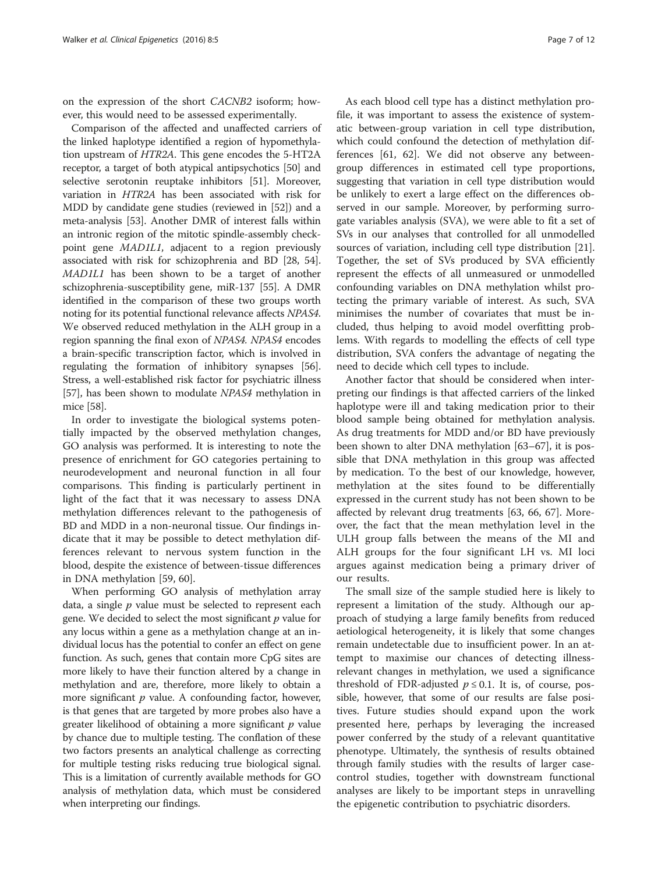on the expression of the short CACNB2 isoform; however, this would need to be assessed experimentally.

Comparison of the affected and unaffected carriers of the linked haplotype identified a region of hypomethylation upstream of HTR2A. This gene encodes the 5-HT2A receptor, a target of both atypical antipsychotics [\[50](#page-11-0)] and selective serotonin reuptake inhibitors [[51\]](#page-11-0). Moreover, variation in HTR2A has been associated with risk for MDD by candidate gene studies (reviewed in [\[52\]](#page-11-0)) and a meta-analysis [[53](#page-11-0)]. Another DMR of interest falls within an intronic region of the mitotic spindle-assembly checkpoint gene MAD1L1, adjacent to a region previously associated with risk for schizophrenia and BD [\[28,](#page-10-0) [54](#page-11-0)]. MAD1L1 has been shown to be a target of another schizophrenia-susceptibility gene, miR-137 [\[55\]](#page-11-0). A DMR identified in the comparison of these two groups worth noting for its potential functional relevance affects NPAS4. We observed reduced methylation in the ALH group in a region spanning the final exon of NPAS4. NPAS4 encodes a brain-specific transcription factor, which is involved in regulating the formation of inhibitory synapses [[56](#page-11-0)]. Stress, a well-established risk factor for psychiatric illness [[57](#page-11-0)], has been shown to modulate NPAS4 methylation in mice [[58](#page-11-0)].

In order to investigate the biological systems potentially impacted by the observed methylation changes, GO analysis was performed. It is interesting to note the presence of enrichment for GO categories pertaining to neurodevelopment and neuronal function in all four comparisons. This finding is particularly pertinent in light of the fact that it was necessary to assess DNA methylation differences relevant to the pathogenesis of BD and MDD in a non-neuronal tissue. Our findings indicate that it may be possible to detect methylation differences relevant to nervous system function in the blood, despite the existence of between-tissue differences in DNA methylation [[59, 60\]](#page-11-0).

When performing GO analysis of methylation array data, a single  $p$  value must be selected to represent each gene. We decided to select the most significant  $p$  value for any locus within a gene as a methylation change at an individual locus has the potential to confer an effect on gene function. As such, genes that contain more CpG sites are more likely to have their function altered by a change in methylation and are, therefore, more likely to obtain a more significant  $p$  value. A confounding factor, however, is that genes that are targeted by more probes also have a greater likelihood of obtaining a more significant  $p$  value by chance due to multiple testing. The conflation of these two factors presents an analytical challenge as correcting for multiple testing risks reducing true biological signal. This is a limitation of currently available methods for GO analysis of methylation data, which must be considered when interpreting our findings.

As each blood cell type has a distinct methylation profile, it was important to assess the existence of systematic between-group variation in cell type distribution, which could confound the detection of methylation differences [[61, 62\]](#page-11-0). We did not observe any betweengroup differences in estimated cell type proportions, suggesting that variation in cell type distribution would be unlikely to exert a large effect on the differences observed in our sample. Moreover, by performing surrogate variables analysis (SVA), we were able to fit a set of SVs in our analyses that controlled for all unmodelled sources of variation, including cell type distribution [\[21](#page-10-0)]. Together, the set of SVs produced by SVA efficiently represent the effects of all unmeasured or unmodelled confounding variables on DNA methylation whilst protecting the primary variable of interest. As such, SVA minimises the number of covariates that must be included, thus helping to avoid model overfitting problems. With regards to modelling the effects of cell type distribution, SVA confers the advantage of negating the need to decide which cell types to include.

Another factor that should be considered when interpreting our findings is that affected carriers of the linked haplotype were ill and taking medication prior to their blood sample being obtained for methylation analysis. As drug treatments for MDD and/or BD have previously been shown to alter DNA methylation [[63](#page-11-0)–[67](#page-11-0)], it is possible that DNA methylation in this group was affected by medication. To the best of our knowledge, however, methylation at the sites found to be differentially expressed in the current study has not been shown to be affected by relevant drug treatments [[63](#page-11-0), [66, 67](#page-11-0)]. Moreover, the fact that the mean methylation level in the ULH group falls between the means of the MI and ALH groups for the four significant LH vs. MI loci argues against medication being a primary driver of our results.

The small size of the sample studied here is likely to represent a limitation of the study. Although our approach of studying a large family benefits from reduced aetiological heterogeneity, it is likely that some changes remain undetectable due to insufficient power. In an attempt to maximise our chances of detecting illnessrelevant changes in methylation, we used a significance threshold of FDR-adjusted  $p \le 0.1$ . It is, of course, possible, however, that some of our results are false positives. Future studies should expand upon the work presented here, perhaps by leveraging the increased power conferred by the study of a relevant quantitative phenotype. Ultimately, the synthesis of results obtained through family studies with the results of larger casecontrol studies, together with downstream functional analyses are likely to be important steps in unravelling the epigenetic contribution to psychiatric disorders.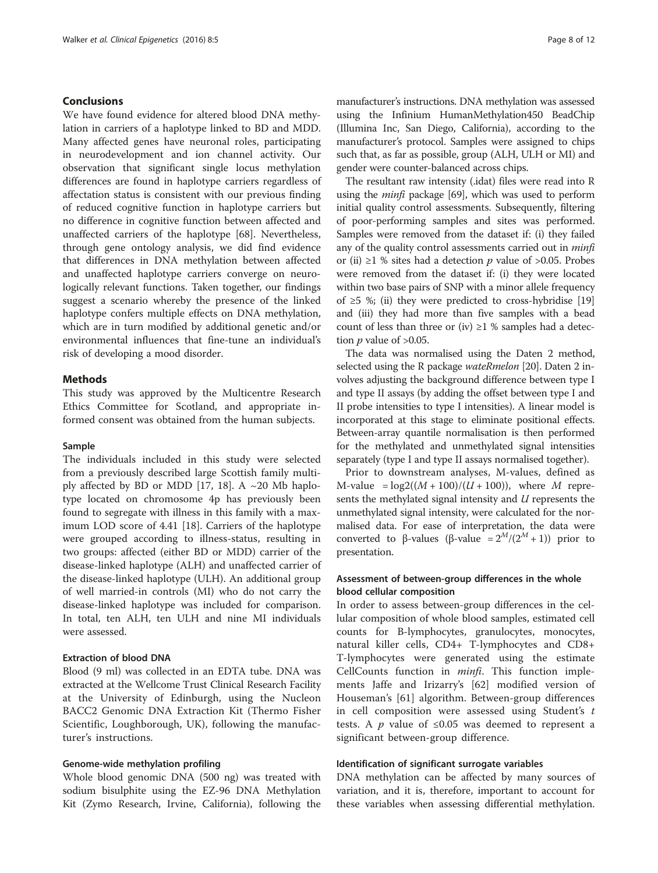## Conclusions

We have found evidence for altered blood DNA methylation in carriers of a haplotype linked to BD and MDD. Many affected genes have neuronal roles, participating in neurodevelopment and ion channel activity. Our observation that significant single locus methylation differences are found in haplotype carriers regardless of affectation status is consistent with our previous finding of reduced cognitive function in haplotype carriers but no difference in cognitive function between affected and unaffected carriers of the haplotype [[68](#page-11-0)]. Nevertheless, through gene ontology analysis, we did find evidence that differences in DNA methylation between affected and unaffected haplotype carriers converge on neurologically relevant functions. Taken together, our findings suggest a scenario whereby the presence of the linked haplotype confers multiple effects on DNA methylation, which are in turn modified by additional genetic and/or environmental influences that fine-tune an individual's risk of developing a mood disorder.

## Methods

This study was approved by the Multicentre Research Ethics Committee for Scotland, and appropriate informed consent was obtained from the human subjects.

#### Sample

The individuals included in this study were selected from a previously described large Scottish family multi-ply affected by BD or MDD [\[17](#page-10-0), [18\]](#page-10-0). A  $\sim$  20 Mb haplotype located on chromosome 4p has previously been found to segregate with illness in this family with a maximum LOD score of 4.41 [\[18\]](#page-10-0). Carriers of the haplotype were grouped according to illness-status, resulting in two groups: affected (either BD or MDD) carrier of the disease-linked haplotype (ALH) and unaffected carrier of the disease-linked haplotype (ULH). An additional group of well married-in controls (MI) who do not carry the disease-linked haplotype was included for comparison. In total, ten ALH, ten ULH and nine MI individuals were assessed.

## Extraction of blood DNA

Blood (9 ml) was collected in an EDTA tube. DNA was extracted at the Wellcome Trust Clinical Research Facility at the University of Edinburgh, using the Nucleon BACC2 Genomic DNA Extraction Kit (Thermo Fisher Scientific, Loughborough, UK), following the manufacturer's instructions.

## Genome-wide methylation profiling

Whole blood genomic DNA (500 ng) was treated with sodium bisulphite using the EZ-96 DNA Methylation Kit (Zymo Research, Irvine, California), following the manufacturer's instructions. DNA methylation was assessed using the Infinium HumanMethylation450 BeadChip (Illumina Inc, San Diego, California), according to the manufacturer's protocol. Samples were assigned to chips such that, as far as possible, group (ALH, ULH or MI) and gender were counter-balanced across chips.

The resultant raw intensity (.idat) files were read into R using the *minfi* package [\[69](#page-11-0)], which was used to perform initial quality control assessments. Subsequently, filtering of poor-performing samples and sites was performed. Samples were removed from the dataset if: (i) they failed any of the quality control assessments carried out in *minfi* or (ii) ≥1 % sites had a detection  $p$  value of >0.05. Probes were removed from the dataset if: (i) they were located within two base pairs of SNP with a minor allele frequency of ≥5 %; (ii) they were predicted to cross-hybridise [[19](#page-10-0)] and (iii) they had more than five samples with a bead count of less than three or (iv)  $\geq 1$  % samples had a detection  $p$  value of  $>0.05$ .

The data was normalised using the Daten 2 method, selected using the R package wateRmelon [[20](#page-10-0)]. Daten 2 involves adjusting the background difference between type I and type II assays (by adding the offset between type I and II probe intensities to type I intensities). A linear model is incorporated at this stage to eliminate positional effects. Between-array quantile normalisation is then performed for the methylated and unmethylated signal intensities separately (type I and type II assays normalised together).

Prior to downstream analyses, M-values, defined as M-value =  $log2((M + 100)/(U + 100))$ , where M represents the methylated signal intensity and  $U$  represents the unmethylated signal intensity, were calculated for the normalised data. For ease of interpretation, the data were converted to β-values (β-value =  $2^M/(2^M + 1)$ ) prior to presentation.

## Assessment of between-group differences in the whole blood cellular composition

In order to assess between-group differences in the cellular composition of whole blood samples, estimated cell counts for B-lymphocytes, granulocytes, monocytes, natural killer cells, CD4+ T-lymphocytes and CD8+ T-lymphocytes were generated using the estimate CellCounts function in minfi. This function implements Jaffe and Irizarry's [[62\]](#page-11-0) modified version of Houseman's [\[61](#page-11-0)] algorithm. Between-group differences in cell composition were assessed using Student's t tests. A *p* value of  $\leq 0.05$  was deemed to represent a significant between-group difference.

## Identification of significant surrogate variables

DNA methylation can be affected by many sources of variation, and it is, therefore, important to account for these variables when assessing differential methylation.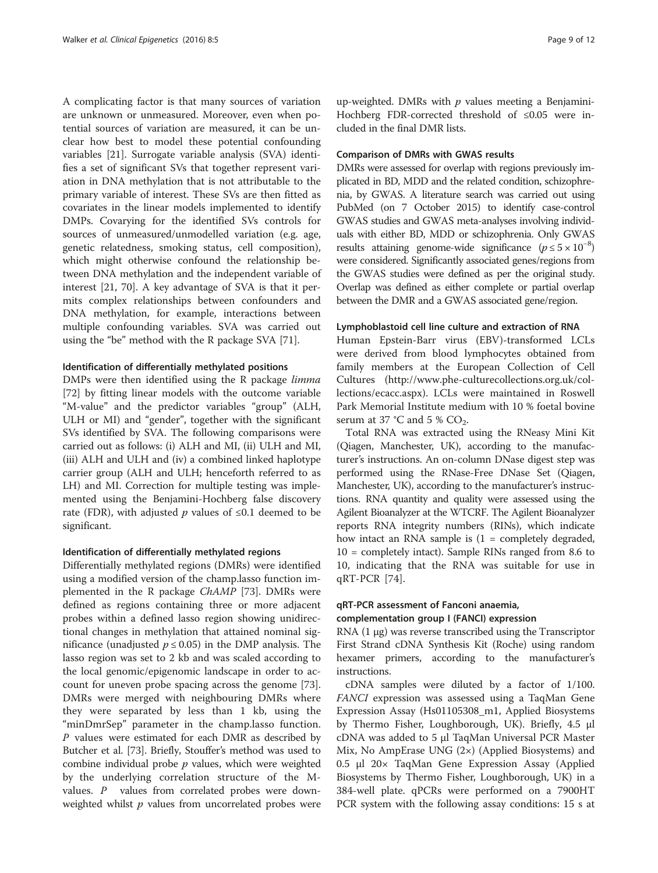A complicating factor is that many sources of variation are unknown or unmeasured. Moreover, even when potential sources of variation are measured, it can be unclear how best to model these potential confounding variables [[21](#page-10-0)]. Surrogate variable analysis (SVA) identifies a set of significant SVs that together represent variation in DNA methylation that is not attributable to the primary variable of interest. These SVs are then fitted as covariates in the linear models implemented to identify DMPs. Covarying for the identified SVs controls for sources of unmeasured/unmodelled variation (e.g. age, genetic relatedness, smoking status, cell composition), which might otherwise confound the relationship between DNA methylation and the independent variable of interest [\[21,](#page-10-0) [70\]](#page-11-0). A key advantage of SVA is that it permits complex relationships between confounders and DNA methylation, for example, interactions between multiple confounding variables. SVA was carried out using the "be" method with the R package SVA [\[71](#page-11-0)].

## Identification of differentially methylated positions

DMPs were then identified using the R package *limma* [[72\]](#page-11-0) by fitting linear models with the outcome variable "M-value" and the predictor variables "group" (ALH, ULH or MI) and "gender", together with the significant SVs identified by SVA. The following comparisons were carried out as follows: (i) ALH and MI, (ii) ULH and MI, (iii) ALH and ULH and (iv) a combined linked haplotype carrier group (ALH and ULH; henceforth referred to as LH) and MI. Correction for multiple testing was implemented using the Benjamini-Hochberg false discovery rate (FDR), with adjusted p values of  $\leq 0.1$  deemed to be significant.

#### Identification of differentially methylated regions

Differentially methylated regions (DMRs) were identified using a modified version of the champ.lasso function implemented in the R package ChAMP [\[73](#page-11-0)]. DMRs were defined as regions containing three or more adjacent probes within a defined lasso region showing unidirectional changes in methylation that attained nominal significance (unadjusted  $p \le 0.05$ ) in the DMP analysis. The lasso region was set to 2 kb and was scaled according to the local genomic/epigenomic landscape in order to account for uneven probe spacing across the genome [\[73](#page-11-0)]. DMRs were merged with neighbouring DMRs where they were separated by less than 1 kb, using the "minDmrSep" parameter in the champ.lasso function. P values were estimated for each DMR as described by Butcher et al. [\[73\]](#page-11-0). Briefly, Stouffer's method was used to combine individual probe  $p$  values, which were weighted by the underlying correlation structure of the Mvalues. P values from correlated probes were downweighted whilst  $p$  values from uncorrelated probes were

up-weighted. DMRs with  $p$  values meeting a Benjamini-Hochberg FDR-corrected threshold of ≤0.05 were included in the final DMR lists.

## Comparison of DMRs with GWAS results

DMRs were assessed for overlap with regions previously implicated in BD, MDD and the related condition, schizophrenia, by GWAS. A literature search was carried out using PubMed (on 7 October 2015) to identify case-control GWAS studies and GWAS meta-analyses involving individuals with either BD, MDD or schizophrenia. Only GWAS results attaining genome-wide significance  $(p \le 5 \times 10^{-8})$ were considered. Significantly associated genes/regions from the GWAS studies were defined as per the original study. Overlap was defined as either complete or partial overlap between the DMR and a GWAS associated gene/region.

#### Lymphoblastoid cell line culture and extraction of RNA

Human Epstein-Barr virus (EBV)-transformed LCLs were derived from blood lymphocytes obtained from family members at the European Collection of Cell Cultures [\(http://www.phe-culturecollections.org.uk/col](http://www.phe-culturecollections.org.uk/collections/ecacc.aspx)[lections/ecacc.aspx](http://www.phe-culturecollections.org.uk/collections/ecacc.aspx)). LCLs were maintained in Roswell Park Memorial Institute medium with 10 % foetal bovine serum at 37 °C and 5 %  $CO<sub>2</sub>$ .

Total RNA was extracted using the RNeasy Mini Kit (Qiagen, Manchester, UK), according to the manufacturer's instructions. An on-column DNase digest step was performed using the RNase-Free DNase Set (Qiagen, Manchester, UK), according to the manufacturer's instructions. RNA quantity and quality were assessed using the Agilent Bioanalyzer at the WTCRF. The Agilent Bioanalyzer reports RNA integrity numbers (RINs), which indicate how intact an RNA sample is  $(1 = \text{completely degraded},$ 10 = completely intact). Sample RINs ranged from 8.6 to 10, indicating that the RNA was suitable for use in qRT-PCR [\[74](#page-11-0)].

## qRT-PCR assessment of Fanconi anaemia,

## complementation group I (FANCI) expression

RNA (1 μg) was reverse transcribed using the Transcriptor First Strand cDNA Synthesis Kit (Roche) using random hexamer primers, according to the manufacturer's instructions.

cDNA samples were diluted by a factor of 1/100. FANCI expression was assessed using a TaqMan Gene Expression Assay (Hs01105308\_m1, Applied Biosystems by Thermo Fisher, Loughborough, UK). Briefly, 4.5 μl cDNA was added to 5 μl TaqMan Universal PCR Master Mix, No AmpErase UNG (2×) (Applied Biosystems) and 0.5 μl 20× TaqMan Gene Expression Assay (Applied Biosystems by Thermo Fisher, Loughborough, UK) in a 384-well plate. qPCRs were performed on a 7900HT PCR system with the following assay conditions: 15 s at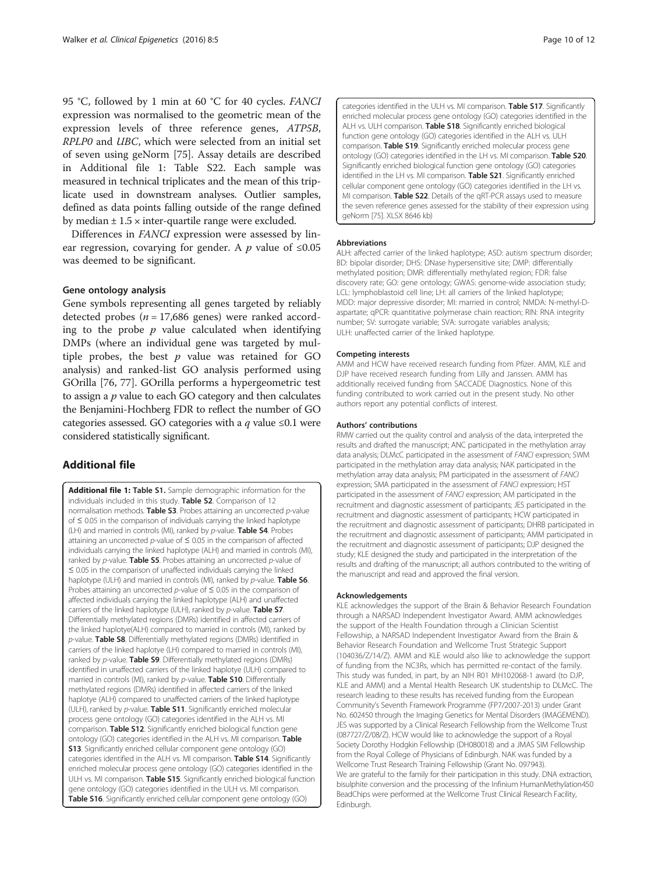<span id="page-9-0"></span>95 °C, followed by 1 min at 60 °C for 40 cycles. FANCI expression was normalised to the geometric mean of the expression levels of three reference genes, ATP5B, RPLP0 and UBC, which were selected from an initial set of seven using geNorm [\[75](#page-11-0)]. Assay details are described in Additional file 1: Table S22. Each sample was measured in technical triplicates and the mean of this triplicate used in downstream analyses. Outlier samples, defined as data points falling outside of the range defined by median  $\pm$  1.5  $\times$  inter-quartile range were excluded.

Differences in FANCI expression were assessed by linear regression, covarying for gender. A  $p$  value of ≤0.05 was deemed to be significant.

#### Gene ontology analysis

Gene symbols representing all genes targeted by reliably detected probes ( $n = 17,686$  genes) were ranked according to the probe  $p$  value calculated when identifying DMPs (where an individual gene was targeted by multiple probes, the best  $p$  value was retained for GO analysis) and ranked-list GO analysis performed using GOrilla [[76, 77\]](#page-11-0). GOrilla performs a hypergeometric test to assign a  $p$  value to each GO category and then calculates the Benjamini-Hochberg FDR to reflect the number of GO categories assessed. GO categories with a  $q$  value ≤0.1 were considered statistically significant.

## Additional file

[Additional file 1:](dx.doi.org/10.1186/s13148-016-0171-z) Table S1. Sample demographic information for the individuals included in this study. Table S2. Comparison of 12 normalisation methods. Table S3. Probes attaining an uncorrected p-value of ≤ 0.05 in the comparison of individuals carrying the linked haplotype (LH) and married in controls (MI), ranked by p-value. Table S4. Probes attaining an uncorrected  $p$ -value of  $\leq$  0.05 in the comparison of affected individuals carrying the linked haplotype (ALH) and married in controls (MI), ranked by  $p$ -value. Table S5. Probes attaining an uncorrected  $p$ -value of ≤ 0.05 in the comparison of unaffected individuals carrying the linked haplotype (ULH) and married in controls (MI), ranked by p-value. Table S6. Probes attaining an uncorrected p-value of  $\leq$  0.05 in the comparison of affected individuals carrying the linked haplotype (ALH) and unaffected carriers of the linked haplotype (ULH), ranked by p-value. Table S7. Differentially methylated regions (DMRs) identified in affected carriers of the linked haplotye(ALH) compared to married in controls (MI), ranked by p-value. Table S8. Differentially methylated regions (DMRs) identified in carriers of the linked haplotye (LH) compared to married in controls (MI), ranked by p-value. Table S9. Differentially methylated regions (DMRs) identified in unaffected carriers of the linked haplotye (ULH) compared to married in controls (MI), ranked by  $p$ -value. Table S10. Differentially methylated regions (DMRs) identified in affected carriers of the linked haplotye (ALH) compared to unaffected carriers of the linked haplotype (ULH), ranked by p-value. Table S11. Significantly enriched molecular process gene ontology (GO) categories identified in the ALH vs. MI comparison. Table S12. Significantly enriched biological function gene ontology (GO) categories identified in the ALH vs. MI comparison. Table S13. Significantly enriched cellular component gene ontology (GO) categories identified in the ALH vs. MI comparison. Table S14. Significantly enriched molecular process gene ontology (GO) categories identified in the ULH vs. MI comparison. Table S15. Significantly enriched biological function gene ontology (GO) categories identified in the ULH vs. MI comparison. Table S16. Significantly enriched cellular component gene ontology (GO)

categories identified in the ULH vs. MI comparison. Table S17. Significantly enriched molecular process gene ontology (GO) categories identified in the ALH vs. ULH comparison. Table S18. Significantly enriched biological function gene ontology (GO) categories identified in the ALH vs. ULH comparison. Table S19. Significantly enriched molecular process gene ontology (GO) categories identified in the LH vs. MI comparison. Table S20. Significantly enriched biological function gene ontology (GO) categories identified in the LH vs. MI comparison. Table S21. Significantly enriched cellular component gene ontology (GO) categories identified in the LH vs. MI comparison. Table S22. Details of the qRT-PCR assays used to measure the seven reference genes assessed for the stability of their expression using geNorm [\[75](#page-11-0)]. XLSX 8646 kb)

#### Abbreviations

ALH: affected carrier of the linked haplotype; ASD: autism spectrum disorder; BD: bipolar disorder; DHS: DNase hypersensitive site; DMP: differentially methylated position; DMR: differentially methylated region; FDR: false discovery rate; GO: gene ontology; GWAS: genome-wide association study; LCL: lymphoblastoid cell line; LH: all carriers of the linked haplotype; MDD: major depressive disorder; MI: married in control; NMDA: N-methyl-Daspartate; qPCR: quantitative polymerase chain reaction; RIN: RNA integrity number; SV: surrogate variable; SVA: surrogate variables analysis; ULH: unaffected carrier of the linked haplotype.

#### Competing interests

AMM and HCW have received research funding from Pfizer. AMM, KLE and DJP have received research funding from Lilly and Janssen. AMM has additionally received funding from SACCADE Diagnostics. None of this funding contributed to work carried out in the present study. No other authors report any potential conflicts of interest.

#### Authors' contributions

RMW carried out the quality control and analysis of the data, interpreted the results and drafted the manuscript; ANC participated in the methylation array data analysis; DLMcC participated in the assessment of FANCI expression; SWM participated in the methylation array data analysis; NAK participated in the methylation array data analysis; PM participated in the assessment of FANCI expression; SMA participated in the assessment of FANCI expression; HST participated in the assessment of FANCI expression; AM participated in the recruitment and diagnostic assessment of participants; JES participated in the recruitment and diagnostic assessment of participants; HCW participated in the recruitment and diagnostic assessment of participants; DHRB participated in the recruitment and diagnostic assessment of participants; AMM participated in the recruitment and diagnostic assessment of participants; DJP designed the study; KLE designed the study and participated in the interpretation of the results and drafting of the manuscript; all authors contributed to the writing of the manuscript and read and approved the final version.

#### Acknowledgements

KLE acknowledges the support of the Brain & Behavior Research Foundation through a NARSAD Independent Investigator Award. AMM acknowledges the support of the Health Foundation through a Clinician Scientist Fellowship, a NARSAD Independent Investigator Award from the Brain & Behavior Research Foundation and Wellcome Trust Strategic Support (104036/Z/14/Z). AMM and KLE would also like to acknowledge the support of funding from the NC3Rs, which has permitted re-contact of the family. This study was funded, in part, by an NIH R01 MH102068-1 award (to DJP, KLE and AMM) and a Mental Health Research UK studentship to DLMcC. The research leading to these results has received funding from the European Community's Seventh Framework Programme (FP7/2007-2013) under Grant No. 602450 through the Imaging Genetics for Mental Disorders (IMAGEMEND). JES was supported by a Clinical Research Fellowship from the Wellcome Trust (087727/Z/08/Z). HCW would like to acknowledge the support of a Royal Society Dorothy Hodgkin Fellowship (DH080018) and a JMAS SIM Fellowship from the Royal College of Physicians of Edinburgh. NAK was funded by a Wellcome Trust Research Training Fellowship (Grant No. 097943). We are grateful to the family for their participation in this study. DNA extraction, bisulphite conversion and the processing of the Infinium HumanMethylation450 BeadChips were performed at the Wellcome Trust Clinical Research Facility, Edinburgh.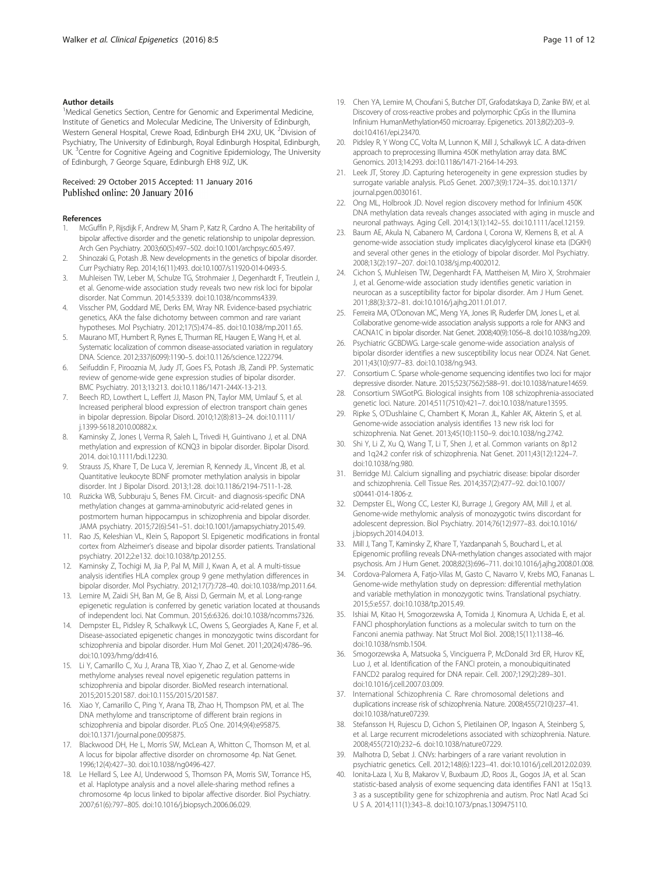#### <span id="page-10-0"></span>Author details

<sup>1</sup>Medical Genetics Section, Centre for Genomic and Experimental Medicine, Institute of Genetics and Molecular Medicine, The University of Edinburgh, Western General Hospital, Crewe Road, Edinburgh EH4 2XU, UK. <sup>2</sup>Division of Psychiatry, The University of Edinburgh, Royal Edinburgh Hospital, Edinburgh, UK. <sup>3</sup>Centre for Cognitive Ageing and Cognitive Epidemiology, The University of Edinburgh, 7 George Square, Edinburgh EH8 9JZ, UK.

#### Received: 29 October 2015 Accepted: 11 January 2016 Published online: 20 January 2016

#### References

- 1. McGuffin P, Rijsdijk F, Andrew M, Sham P, Katz R, Cardno A. The heritability of bipolar affective disorder and the genetic relationship to unipolar depression. Arch Gen Psychiatry. 2003;60(5):497–502. doi[:10.1001/archpsyc.60.5.497.](http://dx.doi.org/10.1001/archpsyc.60.5.497)
- 2. Shinozaki G, Potash JB. New developments in the genetics of bipolar disorder. Curr Psychiatry Rep. 2014;16(11):493. doi[:10.1007/s11920-014-0493-5](http://dx.doi.org/10.1007/s11920-014-0493-5).
- 3. Muhleisen TW, Leber M, Schulze TG, Strohmaier J, Degenhardt F, Treutlein J, et al. Genome-wide association study reveals two new risk loci for bipolar disorder. Nat Commun. 2014;5:3339. doi[:10.1038/ncomms4339.](http://dx.doi.org/10.1038/ncomms4339)
- 4. Visscher PM, Goddard ME, Derks EM, Wray NR. Evidence-based psychiatric genetics, AKA the false dichotomy between common and rare variant hypotheses. Mol Psychiatry. 2012;17(5):474–85. doi[:10.1038/mp.2011.65.](http://dx.doi.org/10.1038/mp.2011.65)
- Maurano MT, Humbert R, Rynes E, Thurman RE, Haugen E, Wang H, et al. Systematic localization of common disease-associated variation in regulatory DNA. Science. 2012;337(6099):1190–5. doi[:10.1126/science.1222794](http://dx.doi.org/10.1126/science.1222794).
- 6. Seifuddin F, Pirooznia M, Judy JT, Goes FS, Potash JB, Zandi PP. Systematic review of genome-wide gene expression studies of bipolar disorder. BMC Psychiatry. 2013;13:213. doi[:10.1186/1471-244X-13-213](http://dx.doi.org/10.1186/1471-244X-13-213).
- 7. Beech RD, Lowthert L, Leffert JJ, Mason PN, Taylor MM, Umlauf S, et al. Increased peripheral blood expression of electron transport chain genes in bipolar depression. Bipolar Disord. 2010;12(8):813–24. doi:[10.1111/](http://dx.doi.org/10.1111/j.1399-5618.2010.00882.x) [j.1399-5618.2010.00882.x](http://dx.doi.org/10.1111/j.1399-5618.2010.00882.x).
- Kaminsky Z, Jones I, Verma R, Saleh L, Trivedi H, Guintivano J, et al. DNA methylation and expression of KCNQ3 in bipolar disorder. Bipolar Disord. 2014. doi:[10.1111/bdi.12230.](http://dx.doi.org/10.1111/bdi.12230)
- 9. Strauss JS, Khare T, De Luca V, Jeremian R, Kennedy JL, Vincent JB, et al. Quantitative leukocyte BDNF promoter methylation analysis in bipolar disorder. Int J Bipolar Disord. 2013;1:28. doi[:10.1186/2194-7511-1-28](http://dx.doi.org/10.1186/2194-7511-1-28).
- 10. Ruzicka WB, Subburaju S, Benes FM. Circuit- and diagnosis-specific DNA methylation changes at gamma-aminobutyric acid-related genes in postmortem human hippocampus in schizophrenia and bipolar disorder. JAMA psychiatry. 2015;72(6):541–51. doi[:10.1001/jamapsychiatry.2015.49](http://dx.doi.org/10.1001/jamapsychiatry.2015.49).
- 11. Rao JS, Keleshian VL, Klein S, Rapoport SI. Epigenetic modifications in frontal cortex from Alzheimer's disease and bipolar disorder patients. Translational psychiatry. 2012;2:e132. doi[:10.1038/tp.2012.55](http://dx.doi.org/10.1038/tp.2012.55).
- 12. Kaminsky Z, Tochigi M, Jia P, Pal M, Mill J, Kwan A, et al. A multi-tissue analysis identifies HLA complex group 9 gene methylation differences in bipolar disorder. Mol Psychiatry. 2012;17(7):728–40. doi:[10.1038/mp.2011.64](http://dx.doi.org/10.1038/mp.2011.64).
- 13. Lemire M, Zaidi SH, Ban M, Ge B, Aissi D, Germain M, et al. Long-range epigenetic regulation is conferred by genetic variation located at thousands of independent loci. Nat Commun. 2015;6:6326. doi[:10.1038/ncomms7326](http://dx.doi.org/10.1038/ncomms7326).
- 14. Dempster EL, Pidsley R, Schalkwyk LC, Owens S, Georgiades A, Kane F, et al. Disease-associated epigenetic changes in monozygotic twins discordant for schizophrenia and bipolar disorder. Hum Mol Genet. 2011;20(24):4786–96. doi[:10.1093/hmg/ddr416.](http://dx.doi.org/10.1093/hmg/ddr416)
- 15. Li Y, Camarillo C, Xu J, Arana TB, Xiao Y, Zhao Z, et al. Genome-wide methylome analyses reveal novel epigenetic regulation patterns in schizophrenia and bipolar disorder. BioMed research international. 2015;2015:201587. doi[:10.1155/2015/201587](http://dx.doi.org/10.1155/2015/201587).
- 16. Xiao Y, Camarillo C, Ping Y, Arana TB, Zhao H, Thompson PM, et al. The DNA methylome and transcriptome of different brain regions in schizophrenia and bipolar disorder. PLoS One. 2014;9(4):e95875. doi[:10.1371/journal.pone.0095875.](http://dx.doi.org/10.1371/journal.pone.0095875)
- 17. Blackwood DH, He L, Morris SW, McLean A, Whitton C, Thomson M, et al. A locus for bipolar affective disorder on chromosome 4p. Nat Genet. 1996;12(4):427–30. doi:[10.1038/ng0496-427.](http://dx.doi.org/10.1038/ng0496-427)
- 18. Le Hellard S, Lee AJ, Underwood S, Thomson PA, Morris SW, Torrance HS, et al. Haplotype analysis and a novel allele-sharing method refines a chromosome 4p locus linked to bipolar affective disorder. Biol Psychiatry. 2007;61(6):797–805. doi[:10.1016/j.biopsych.2006.06.029.](http://dx.doi.org/10.1016/j.biopsych.2006.06.029)
- 19. Chen YA, Lemire M, Choufani S, Butcher DT, Grafodatskaya D, Zanke BW, et al. Discovery of cross-reactive probes and polymorphic CpGs in the Illumina Infinium HumanMethylation450 microarray. Epigenetics. 2013;8(2):203–9. doi:[10.4161/epi.23470](http://dx.doi.org/10.4161/epi.23470).
- 20. Pidsley R, Y Wong CC, Volta M, Lunnon K, Mill J, Schalkwyk LC. A data-driven approach to preprocessing Illumina 450K methylation array data. BMC Genomics. 2013;14:293. doi[:10.1186/1471-2164-14-293](http://dx.doi.org/10.1186/1471-2164-14-293).
- 21. Leek JT, Storey JD. Capturing heterogeneity in gene expression studies by surrogate variable analysis. PLoS Genet. 2007;3(9):1724–35. doi[:10.1371/](http://dx.doi.org/10.1371/journal.pgen.0030161) [journal.pgen.0030161](http://dx.doi.org/10.1371/journal.pgen.0030161).
- 22. Ong ML, Holbrook JD. Novel region discovery method for Infinium 450K DNA methylation data reveals changes associated with aging in muscle and neuronal pathways. Aging Cell. 2014;13(1):142–55. doi:[10.1111/acel.12159](http://dx.doi.org/10.1111/acel.12159).
- 23. Baum AE, Akula N, Cabanero M, Cardona I, Corona W, Klemens B, et al. A genome-wide association study implicates diacylglycerol kinase eta (DGKH) and several other genes in the etiology of bipolar disorder. Mol Psychiatry. 2008;13(2):197–207. doi[:10.1038/sj.mp.4002012](http://dx.doi.org/10.1038/sj.mp.4002012).
- 24. Cichon S, Muhleisen TW, Degenhardt FA, Mattheisen M, Miro X, Strohmaier J, et al. Genome-wide association study identifies genetic variation in neurocan as a susceptibility factor for bipolar disorder. Am J Hum Genet. 2011;88(3):372–81. doi:[10.1016/j.ajhg.2011.01.017](http://dx.doi.org/10.1016/j.ajhg.2011.01.017).
- 25. Ferreira MA, O'Donovan MC, Meng YA, Jones IR, Ruderfer DM, Jones L, et al. Collaborative genome-wide association analysis supports a role for ANK3 and CACNA1C in bipolar disorder. Nat Genet. 2008;40(9):1056–8. doi:[10.1038/ng.209.](http://dx.doi.org/10.1038/ng.209)
- 26. Psychiatric GCBDWG. Large-scale genome-wide association analysis of bipolar disorder identifies a new susceptibility locus near ODZ4. Nat Genet. 2011;43(10):977–83. doi[:10.1038/ng.943.](http://dx.doi.org/10.1038/ng.943)
- 27. Consortium C. Sparse whole-genome sequencing identifies two loci for major depressive disorder. Nature. 2015;523(7562):588–91. doi[:10.1038/nature14659.](http://dx.doi.org/10.1038/nature14659)
- 28. Consortium SWGotPG. Biological insights from 108 schizophrenia-associated genetic loci. Nature. 2014;511(7510):421–7. doi[:10.1038/nature13595.](http://dx.doi.org/10.1038/nature13595)
- 29. Ripke S, O'Dushlaine C, Chambert K, Moran JL, Kahler AK, Akterin S, et al. Genome-wide association analysis identifies 13 new risk loci for schizophrenia. Nat Genet. 2013;45(10):1150–9. doi[:10.1038/ng.2742.](http://dx.doi.org/10.1038/ng.2742)
- 30. Shi Y, Li Z, Xu Q, Wang T, Li T, Shen J, et al. Common variants on 8p12 and 1q24.2 confer risk of schizophrenia. Nat Genet. 2011;43(12):1224–7. doi[:10.1038/ng.980](http://dx.doi.org/10.1038/ng.980).
- 31. Berridge MJ. Calcium signalling and psychiatric disease: bipolar disorder and schizophrenia. Cell Tissue Res. 2014;357(2):477–92. doi[:10.1007/](http://dx.doi.org/10.1007/s00441-014-1806-z) [s00441-014-1806-z](http://dx.doi.org/10.1007/s00441-014-1806-z).
- 32. Dempster EL, Wong CC, Lester KJ, Burrage J, Gregory AM, Mill J, et al. Genome-wide methylomic analysis of monozygotic twins discordant for adolescent depression. Biol Psychiatry. 2014;76(12):977–83. doi[:10.1016/](http://dx.doi.org/10.1016/j.biopsych.2014.04.013) [j.biopsych.2014.04.013](http://dx.doi.org/10.1016/j.biopsych.2014.04.013).
- 33. Mill J, Tang T, Kaminsky Z, Khare T, Yazdanpanah S, Bouchard L, et al. Epigenomic profiling reveals DNA-methylation changes associated with major psychosis. Am J Hum Genet. 2008;82(3):696–711. doi:[10.1016/j.ajhg.2008.01.008.](http://dx.doi.org/10.1016/j.ajhg.2008.01.008)
- 34. Cordova-Palomera A, Fatjo-Vilas M, Gasto C, Navarro V, Krebs MO, Fananas L. Genome-wide methylation study on depression: differential methylation and variable methylation in monozygotic twins. Translational psychiatry. 2015;5:e557. doi[:10.1038/tp.2015.49](http://dx.doi.org/10.1038/tp.2015.49).
- 35. Ishiai M, Kitao H, Smogorzewska A, Tomida J, Kinomura A, Uchida E, et al. FANCI phosphorylation functions as a molecular switch to turn on the Fanconi anemia pathway. Nat Struct Mol Biol. 2008;15(11):1138–46. doi[:10.1038/nsmb.1504.](http://dx.doi.org/10.1038/nsmb.1504)
- 36. Smogorzewska A, Matsuoka S, Vinciguerra P, McDonald 3rd ER, Hurov KE, Luo J, et al. Identification of the FANCI protein, a monoubiquitinated FANCD2 paralog required for DNA repair. Cell. 2007;129(2):289–301. doi[:10.1016/j.cell.2007.03.009.](http://dx.doi.org/10.1016/j.cell.2007.03.009)
- 37. International Schizophrenia C. Rare chromosomal deletions and duplications increase risk of schizophrenia. Nature. 2008;455(7210):237–41. doi:[10.1038/nature07239](http://dx.doi.org/10.1038/nature07239).
- 38. Stefansson H, Rujescu D, Cichon S, Pietilainen OP, Ingason A, Steinberg S, et al. Large recurrent microdeletions associated with schizophrenia. Nature. 2008;455(7210):232–6. doi[:10.1038/nature07229.](http://dx.doi.org/10.1038/nature07229)
- 39. Malhotra D, Sebat J. CNVs: harbingers of a rare variant revolution in psychiatric genetics. Cell. 2012;148(6):1223–41. doi:[10.1016/j.cell.2012.02.039](http://dx.doi.org/10.1016/j.cell.2012.02.039).
- 40. Ionita-Laza I, Xu B, Makarov V, Buxbaum JD, Roos JL, Gogos JA, et al. Scan statistic-based analysis of exome sequencing data identifies FAN1 at 15q13. 3 as a susceptibility gene for schizophrenia and autism. Proc Natl Acad Sci U S A. 2014;111(1):343–8. doi[:10.1073/pnas.1309475110](http://dx.doi.org/10.1073/pnas.1309475110).